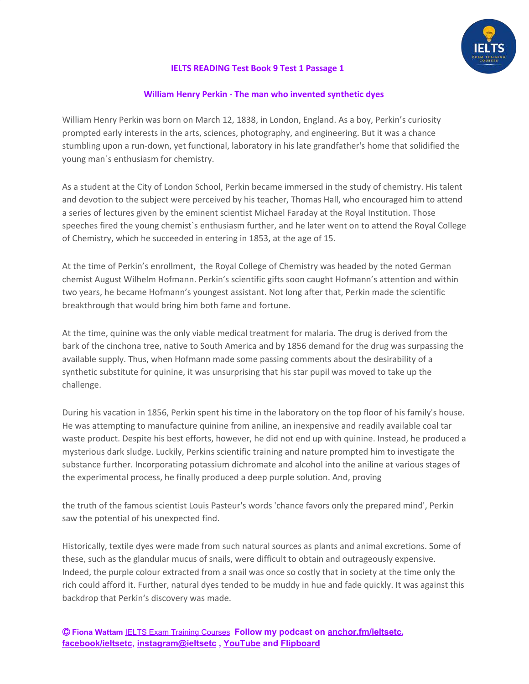

### **IELTS READING Test Book 9 Test 1 Passage 1**

#### **William Henry Perkin - The man who invented synthetic dyes**

William Henry Perkin was born on March 12, 1838, in London, England. As a boy, Perkin's curiosity prompted early interests in the arts, sciences, photography, and engineering. But it was a chance stumbling upon a run-down, yet functional, laboratory in his late grandfather's home that solidified the young man`s enthusiasm for chemistry.

As a student at the City of London School, Perkin became immersed in the study of chemistry. His talent and devotion to the subject were perceived by his teacher, Thomas Hall, who encouraged him to attend a series of lectures given by the eminent scientist Michael Faraday at the Royal Institution. Those speeches fired the young chemist`s enthusiasm further, and he later went on to attend the Royal College of Chemistry, which he succeeded in entering in 1853, at the age of 15.

At the time of Perkin's enrollment, the Royal College of Chemistry was headed by the noted German chemist August Wilhelm Hofmann. Perkin's scientific gifts soon caught Hofmann's attention and within two years, he became Hofmann's youngest assistant. Not long after that, Perkin made the scientific breakthrough that would bring him both fame and fortune.

At the time, quinine was the only viable medical treatment for malaria. The drug is derived from the bark of the cinchona tree, native to South America and by 1856 demand for the drug was surpassing the available supply. Thus, when Hofmann made some passing comments about the desirability of a synthetic substitute for quinine, it was unsurprising that his star pupil was moved to take up the challenge.

During his vacation in 1856, Perkin spent his time in the laboratory on the top floor of his family's house. He was attempting to manufacture quinine from aniline, an inexpensive and readily available coal tar waste product. Despite his best efforts, however, he did not end up with quinine. Instead, he produced a mysterious dark sludge. Luckily, Perkins scientific training and nature prompted him to investigate the substance further. Incorporating potassium dichromate and alcohol into the aniline at various stages of the experimental process, he finally produced a deep purple solution. And, proving

the truth of the famous scientist Louis Pasteur's words 'chance favors only the prepared mind', Perkin saw the potential of his unexpected find.

Historically, textile dyes were made from such natural sources as plants and animal excretions. Some of these, such as the glandular mucus of snails, were difficult to obtain and outrageously expensive. Indeed, the purple colour extracted from a snail was once so costly that in society at the time only the rich could afford it. Further, natural dyes tended to be muddy in hue and fade quickly. It was against this backdrop that Perkin's discovery was made.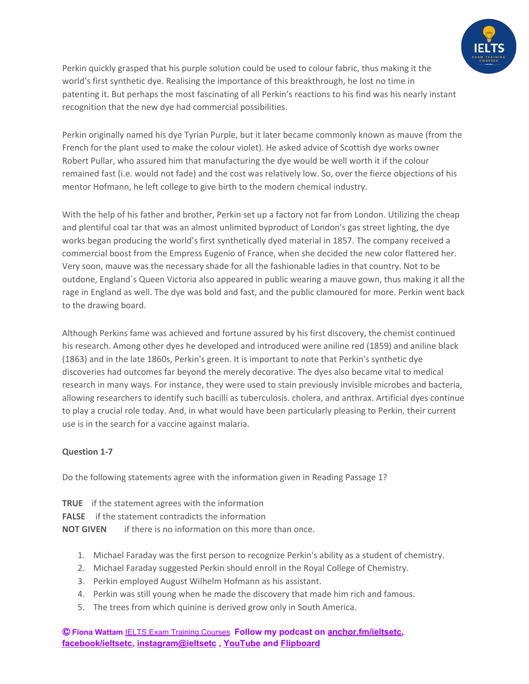

Perkin quickly grasped that his purple solution could be used to colour fabric, thus making it the world's first synthetic dye. Realising the importance of this breakthrough, he lost no time in patenting it. But perhaps the most fascinating of all Perkin's reactions to his find was his nearly instant recognition that the new dye had commercial possibilities.

Perkin originally named his dye Tyrian Purple, but it later became commonly known as mauve (from the French for the plant used to make the colour violet). He asked advice of Scottish dye works owner Robert Pullar, who assured him that manufacturing the dye would be well worth it if the colour remained fast (i.e. would not fade) and the cost was relatively low. So, over the fierce objections of his mentor Hofmann, he left college to give birth to the modern chemical industry.

With the help of his father and brother, Perkin set up a factory not far from London. Utilizing the cheap and plentiful coal tar that was an almost unlimited byproduct of London's gas street lighting, the dye works began producing the world's first synthetically dyed material in 1857. The company received a commercial boost from the Empress Eugenio of France, when she decided the new color flattered her. Very soon, mauve was the necessary shade for all the fashionable ladies in that country. Not to be outdone, England`s Queen Victoria also appeared in public wearing a mauve gown, thus making it all the rage in England as well. The dye was bold and fast, and the public clamoured for more. Perkin went back to the drawing board.

Although Perkins fame was achieved and fortune assured by his first discovery, the chemist continued his research. Among other dyes he developed and introduced were aniline red (1859) and aniline black (1863) and in the late 1860s, Perkin's green. It is important to note that Perkin's synthetic dye discoveries had outcomes far beyond the merely decorative. The dyes also became vital to medical research in many ways. For instance, they were used to stain previously invisible microbes and bacteria, allowing researchers to identify such bacilli as tuberculosis. cholera, and anthrax. Artificial dyes continue to play a crucial role today. And, in what would have been particularly pleasing to Perkin, their current use is in the search for a vaccine against malaria.

## **Question 1-7**

Do the following statements agree with the information given in Reading Passage 1?

- **TRUE** if the statement agrees with the information **FALSE** if the statement contradicts the information **NOT GIVEN** if there is no information on this more than once.
	- 1. Michael Faraday was the first person to recognize Perkin's ability as a student of chemistry.
	- 2. Michael Faraday suggested Perkin should enroll in the Royal College of Chemistry.
	- 3. Perkin employed August Wilhelm Hofmann as his assistant.
	- 4. Perkin was still young when he made the discovery that made him rich and famous.
	- 5. The trees from which quinine is derived grow only in South America.

Ⓒ **Fiona Wattam** [IELTS Exam Training Courses](https://www.ieltsetc.com/) **Follow my podcast on [anchor.fm/ieltsetc,](https://anchor.fm/ieltsetc) [facebook/ieltsetc](https://www.facebook.com/groups/528060717568309/), [instagram@ieltsetc](https://www.instagram.com/ieltsetc/) , [YouTube](https://www.youtube.com/channel/UC1tn5rRqHkjO2YWZ_MWwvZw) and [Flipboard](https://flipboard.com/@FionaWattam)**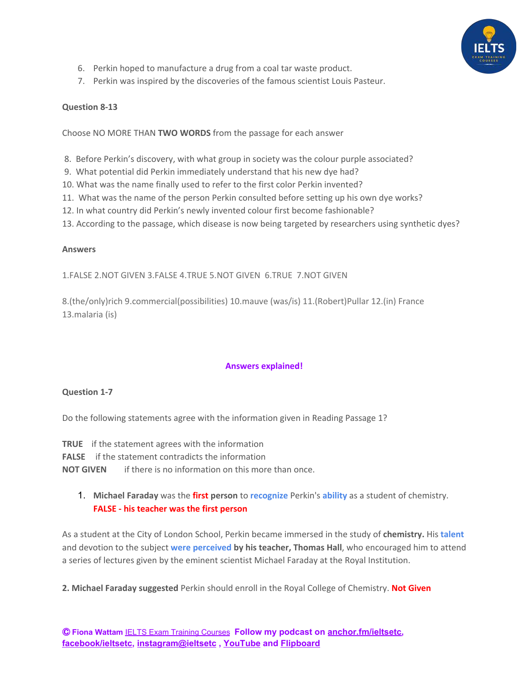

- 6. Perkin hoped to manufacture a drug from a coal tar waste product.
- 7. Perkin was inspired by the discoveries of the famous scientist Louis Pasteur.

#### **Question 8-13**

Choose NO MORE THAN **TWO WORDS** from the passage for each answer

- 8. Before Perkin's discovery, with what group in society was the colour purple associated?
- 9. What potential did Perkin immediately understand that his new dye had?
- 10. What was the name finally used to refer to the first color Perkin invented?
- 11. What was the name of the person Perkin consulted before setting up his own dye works?
- 12. In what country did Perkin's newly invented colour first become fashionable?
- 13. According to the passage, which disease is now being targeted by researchers using synthetic dyes?

#### **Answers**

1.FALSE 2.NOT GIVEN 3.FALSE 4.TRUE 5.NOT GIVEN 6.TRUE 7.NOT GIVEN

8.(the/only)rich 9.commercial(possibilities) 10.mauve (was/is) 11.(Robert)Pullar 12.(in) France 13.malaria (is)

## **Answers explained!**

#### **Question 1-7**

Do the following statements agree with the information given in Reading Passage 1?

**TRUE** if the statement agrees with the information

**FALSE** if the statement contradicts the information

**NOT GIVEN** if there is no information on this more than once.

1. **Michael Faraday** was the **first person** to **recognize** Perkin's **ability** as a student of chemistry. **FALSE - his teacher was the first person**

As a student at the City of London School, Perkin became immersed in the study of **chemistry.** His **talent** and devotion to the subject **were perceived by his teacher, Thomas Hall**, who encouraged him to attend a series of lectures given by the eminent scientist Michael Faraday at the Royal Institution.

**2. Michael Faraday suggested** Perkin should enroll in the Royal College of Chemistry. **Not Given**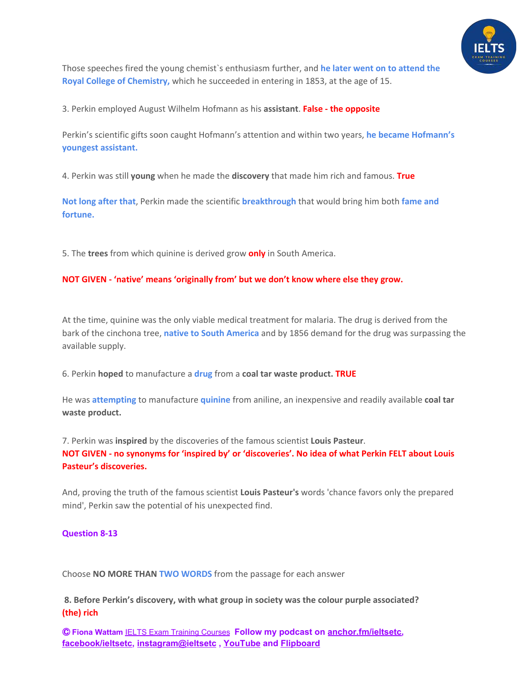

Those speeches fired the young chemist`s enthusiasm further, and **he later went on to attend the Royal College of Chemistry,** which he succeeded in entering in 1853, at the age of 15.

3. Perkin employed August Wilhelm Hofmann as his **assistant**. **False - the opposite**

Perkin's scientific gifts soon caught Hofmann's attention and within two years, **he became Hofmann's youngest assistant.**

4. Perkin was still **young** when he made the **discovery** that made him rich and famous. **True**

**Not long after that**, Perkin made the scientific **breakthrough** that would bring him both **fame and fortune.**

5. The **trees** from which quinine is derived grow **only** in South America.

### **NOT GIVEN - 'native' means 'originally from' but we don't know where else they grow.**

At the time, quinine was the only viable medical treatment for malaria. The drug is derived from the bark of the cinchona tree, **native to South America** and by 1856 demand for the drug was surpassing the available supply.

6. Perkin **hoped** to manufacture a **drug** from a **coal tar waste product. TRUE**

He was **attempting** to manufacture **quinine** from aniline, an inexpensive and readily available **coal tar waste product.**

7. Perkin was **inspired** by the discoveries of the famous scientist **Louis Pasteur**. NOT GIVEN - no synonyms for 'inspired by' or 'discoveries'. No idea of what Perkin FELT about Louis **Pasteur's discoveries.**

And, proving the truth of the famous scientist **Louis Pasteur's** words 'chance favors only the prepared mind', Perkin saw the potential of his unexpected find.

## **Question 8-13**

Choose **NO MORE THAN TWO WORDS** from the passage for each answer

**8. Before Perkin's discovery, with what group in society was the colour purple associated? (the) rich**

Ⓒ **Fiona Wattam** [IELTS Exam Training Courses](https://www.ieltsetc.com/) **Follow my podcast on [anchor.fm/ieltsetc,](https://anchor.fm/ieltsetc) [facebook/ieltsetc](https://www.facebook.com/groups/528060717568309/), [instagram@ieltsetc](https://www.instagram.com/ieltsetc/) , [YouTube](https://www.youtube.com/channel/UC1tn5rRqHkjO2YWZ_MWwvZw) and [Flipboard](https://flipboard.com/@FionaWattam)**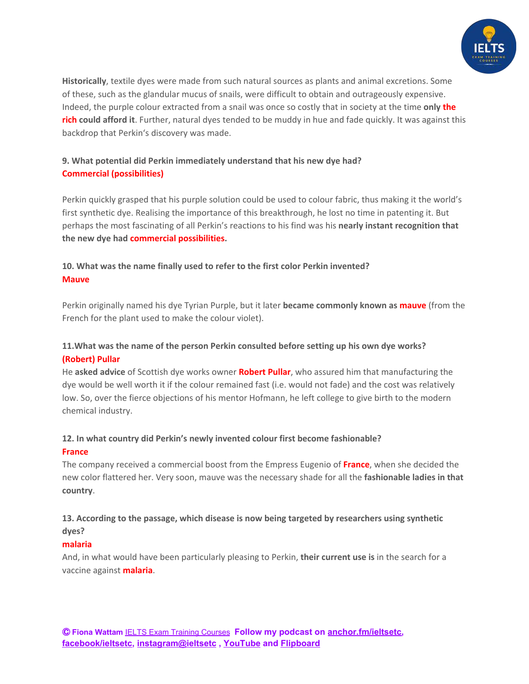

**Historically**, textile dyes were made from such natural sources as plants and animal excretions. Some of these, such as the glandular mucus of snails, were difficult to obtain and outrageously expensive. Indeed, the purple colour extracted from a snail was once so costly that in society at the time **only the rich could afford it**. Further, natural dyes tended to be muddy in hue and fade quickly. It was against this backdrop that Perkin's discovery was made.

# **9. What potential did Perkin immediately understand that his new dye had? Commercial (possibilities)**

Perkin quickly grasped that his purple solution could be used to colour fabric, thus making it the world's first synthetic dye. Realising the importance of this breakthrough, he lost no time in patenting it. But perhaps the most fascinating of all Perkin's reactions to his find was his **nearly instant recognition that the new dye had commercial possibilities.**

# **10. What was the name finally used to refer to the first color Perkin invented? Mauve**

Perkin originally named his dye Tyrian Purple, but it later **became commonly known as mauve** (from the French for the plant used to make the colour violet).

# **11.What was the name of the person Perkin consulted before setting up his own dye works? (Robert) Pullar**

He **asked advice** of Scottish dye works owner **Robert Pullar**, who assured him that manufacturing the dye would be well worth it if the colour remained fast (i.e. would not fade) and the cost was relatively low. So, over the fierce objections of his mentor Hofmann, he left college to give birth to the modern chemical industry.

## **12. In what country did Perkin's newly invented colour first become fashionable? France**

The company received a commercial boost from the Empress Eugenio of **France**, when she decided the new color flattered her. Very soon, mauve was the necessary shade for all the **fashionable ladies in that country**.

# **13. According to the passage, which disease is now being targeted by researchers using synthetic dyes?**

## **malaria**

And, in what would have been particularly pleasing to Perkin, **their current use is** in the search for a vaccine against **malaria**.